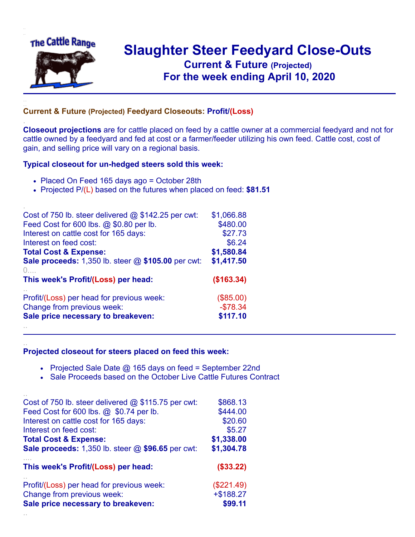

.

..

## **Slaughter Steer Feedyard Close-Outs Current & Future (Projected)** .**For the week ending April 10, 2020**

## **Current & Future (Projected) Feedyard Closeouts: Profit/(Loss)**

**Closeout projections** are for cattle placed on feed by a cattle owner at a commercial feedyard and not for cattle owned by a feedyard and fed at cost or a farmer/feeder utilizing his own feed. Cattle cost, cost of gain, and selling price will vary on a regional basis.

## **Typical closeout for un-hedged steers sold this week:**

- Placed On Feed 165 days ago = October 28th
- Projected P/(L) based on the futures when placed on feed: **\$81.51**

| Cost of 750 lb. steer delivered $@$ \$142.25 per cwt: | \$1,066.88 |
|-------------------------------------------------------|------------|
| Feed Cost for 600 lbs. @ \$0.80 per lb.               | \$480.00   |
| Interest on cattle cost for 165 days:                 | \$27.73    |
| Interest on feed cost:                                | \$6.24     |
| <b>Total Cost &amp; Expense:</b>                      | \$1,580.84 |
| Sale proceeds: 1,350 lb. steer @ \$105.00 per cwt:    | \$1,417.50 |
| (                                                     |            |
| This week's Profit/(Loss) per head:                   | (\$163.34) |
| Profit/(Loss) per head for previous week:             | (\$85.00)  |
| Change from previous week:                            | $-$78.34$  |
| Sale price necessary to breakeven:                    | \$117.10   |
|                                                       |            |

## **Projected closeout for steers placed on feed this week:**

- Projected Sale Date  $@$  165 days on feed = September 22nd
- Sale Proceeds based on the October Live Cattle Futures Contract

| Cost of 750 lb. steer delivered $@$ \$115.75 per cwt: | \$868.13     |
|-------------------------------------------------------|--------------|
| Feed Cost for 600 lbs. @ \$0.74 per lb.               | \$444.00     |
| Interest on cattle cost for 165 days:                 | \$20.60      |
| Interest on feed cost:                                | \$5.27       |
| <b>Total Cost &amp; Expense:</b>                      | \$1,338.00   |
| Sale proceeds: 1,350 lb. steer @ \$96.65 per cwt:     | \$1,304.78   |
| This week's Profit/(Loss) per head:                   | (\$33.22)    |
| Profit/(Loss) per head for previous week:             | (\$221.49)   |
| Change from previous week:                            | $+$ \$188.27 |
| Sale price necessary to breakeven:                    | \$99.11      |
|                                                       |              |